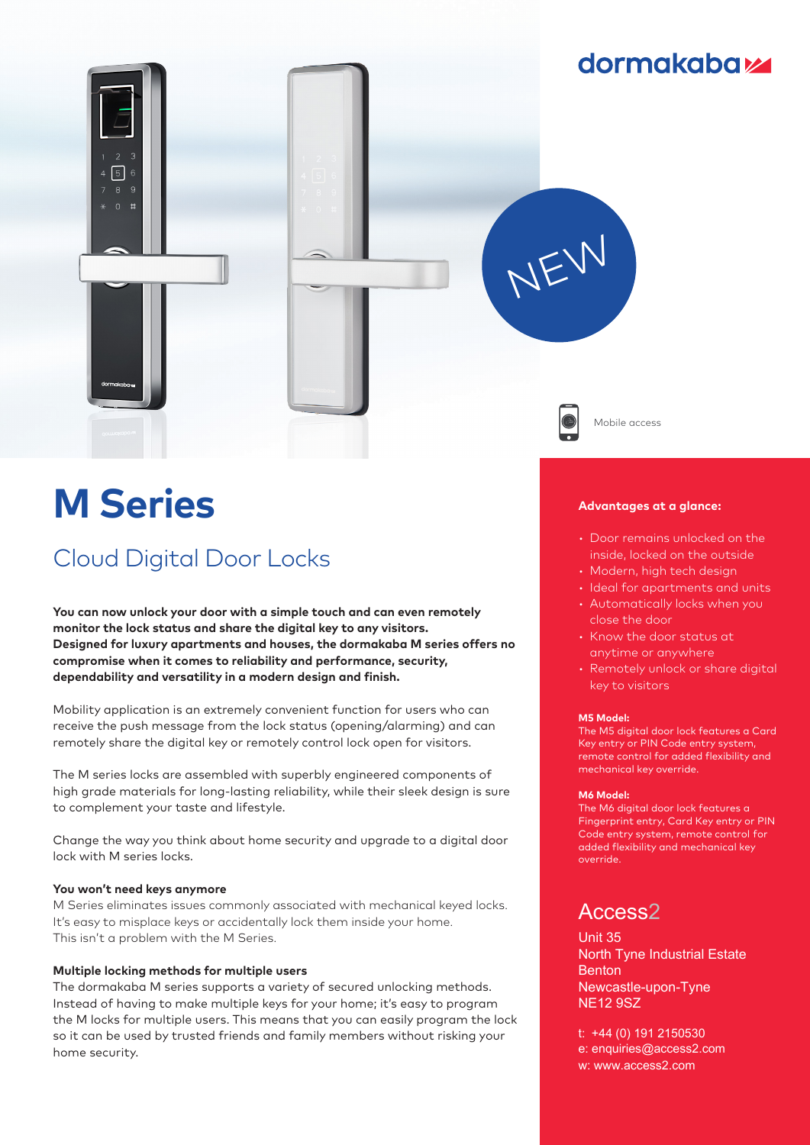

# **M Series**

# Cloud Digital Door Locks

**You can now unlock your door with a simple touch and can even remotely monitor the lock status and share the digital key to any visitors. Designed for luxury apartments and houses, the dormakaba M series offers no compromise when it comes to reliability and performance, security, dependability and versatility in a modern design and finish.**

Mobility application is an extremely convenient function for users who can receive the push message from the lock status (opening/alarming) and can remotely share the digital key or remotely control lock open for visitors.

The M series locks are assembled with superbly engineered components of high grade materials for long-lasting reliability, while their sleek design is sure to complement your taste and lifestyle.

Change the way you think about home security and upgrade to a digital door lock with M series locks.

### **You won't need keys anymore**

M Series eliminates issues commonly associated with mechanical keyed locks. It's easy to misplace keys or accidentally lock them inside your home. This isn't a problem with the M Series.

#### **Multiple locking methods for multiple users**

The dormakaba M series supports a variety of secured unlocking methods. Instead of having to make multiple keys for your home; it's easy to program the M locks for multiple users. This means that you can easily program the lock so it can be used by trusted friends and family members without risking your home security.

#### **Advantages at a glance:**

- Door remains unlocked on the inside, locked on the outside
- Modern, high tech design
- Ideal for apartments and units • Automatically locks when you
- close the door • Know the door status at
- anytime or anywhere
- Remotely unlock or share digital key to visitors

#### **M5 Model:**

The M5 digital door lock features a Card Key entry or PIN Code entry system, remote control for added flexibility and mechanical key override.

#### **M6 Model:**

The M6 digital door lock features a Fingerprint entry, Card Key entry or PIN Code entry system, remote control for added flexibility and mechanical key override.

## Access2

Unit 35 North Tyne Industrial Estate Benton Newcastle-upon-Tyne NE12 9SZ

t: +44 (0) 191 2150530 e: enquiries@access2.com w: www.access2.com